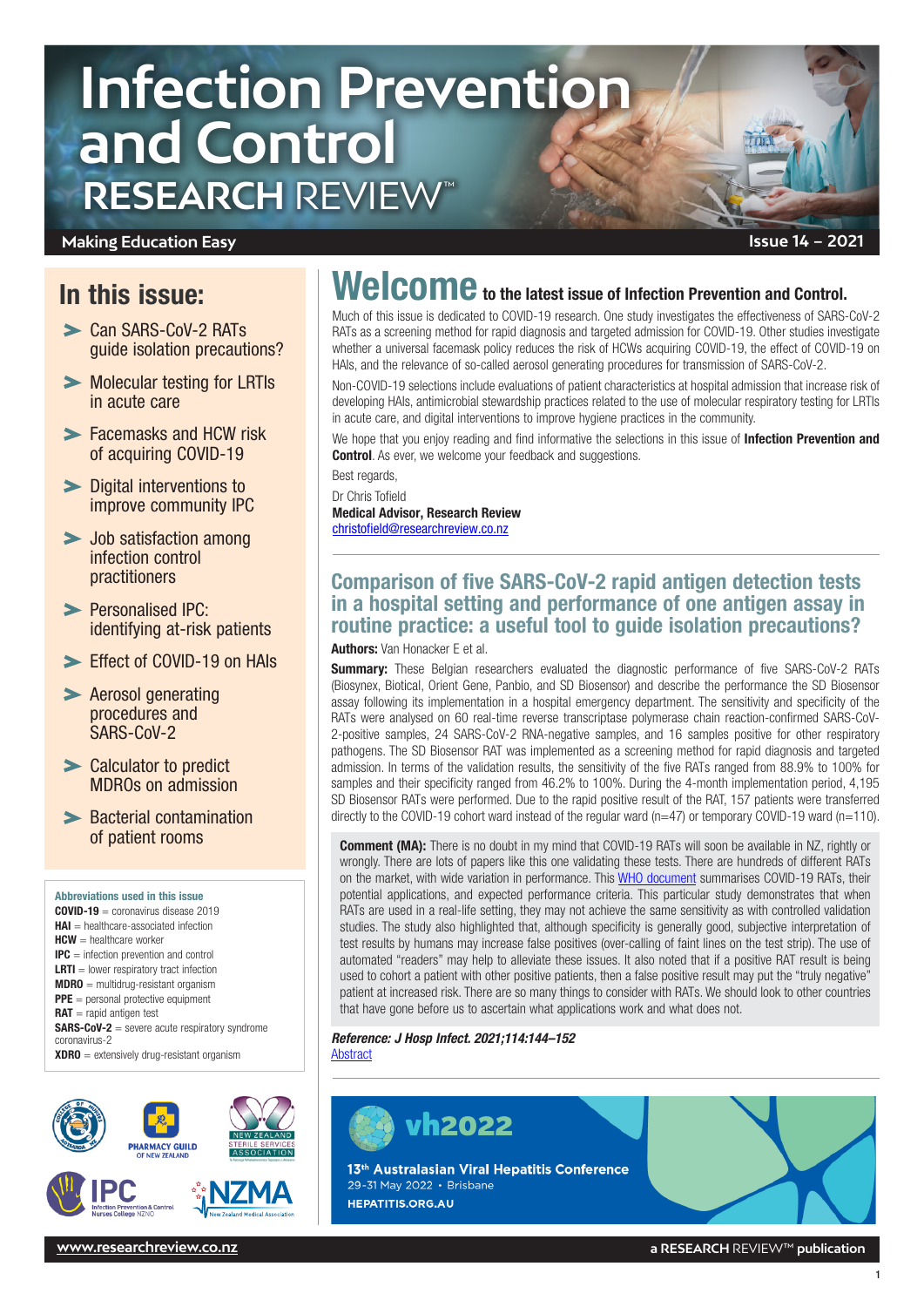# **Infection Prevention and Control RESEARCH** REVIEW™

### **Making Education Easy**

# In this issue:

- > Can SARS-CoV-2 RATs guide isolation precautions?
- **Molecular testing for LRTIS** [in acute care](#page-1-0)
- [Facemasks and HCW risk](#page-1-0)  [of acquiring COVID-19](#page-1-0)
- > Digital interventions to [improve community IPC](#page-2-0)
- > Job satisfaction among [infection control](#page-2-0)  [practitioners](#page-2-0)
- > Personalised IPC: [identifying at-risk patients](#page-3-0)
- Fffect of COVID-19 on HAIs
- **EXAGE ARE APPROX** Aerosol generating [procedures and](#page-4-0)  [SARS-CoV-2](#page-4-0)
- [Calculator to predict](#page-4-0)  [MDROs on admission](#page-4-0)
- **> Bacterial contamination** [of patient rooms](#page-4-0)

Abbreviations used in this issue COVID-19 = coronavirus disease 2019  $H\Delta I$  = healthcare-associated infection HCW = healthcare worker IPC = infection prevention and control  $LRTI =$  lower respiratory tract infection  $MDRO =$  multidrug-resistant organism PPE = personal protective equipment  $RAT$  = rapid antigen test SARS-CoV-2 = severe acute respiratory syndrome coronavirus-2  $XDRO =$  extensively drug-resistant organism



# Welcome to the latest issue of Infection Prevention and Control.

Much of this issue is dedicated to COVID-19 research. One study investigates the effectiveness of SARS-CoV-2 RATs as a screening method for rapid diagnosis and targeted admission for COVID-19. Other studies investigate whether a universal facemask policy reduces the risk of HCWs acquiring COVID-19, the effect of COVID-19 on HAIs, and the relevance of so-called aerosol generating procedures for transmission of SARS-CoV-2.

Non-COVID-19 selections include evaluations of patient characteristics at hospital admission that increase risk of developing HAIs, antimicrobial stewardship practices related to the use of molecular respiratory testing for LRTIs in acute care, and digital interventions to improve hygiene practices in the community.

We hope that you enjoy reading and find informative the selections in this issue of **Infection Prevention and Control.** As ever, we welcome your feedback and suggestions.

Best regards, Dr Chris Tofield Medical Advisor, Research Review

[christofield@researchreview.co.nz](mailto:christofield@researchreview.co.nz)

# Comparison of five SARS-CoV-2 rapid antigen detection tests in a hospital setting and performance of one antigen assay in routine practice: a useful tool to guide isolation precautions?

#### Authors: Van Honacker E et al.

**Summary:** These Belgian researchers evaluated the diagnostic performance of five SARS-CoV-2 RATs (Biosynex, Biotical, Orient Gene, Panbio, and SD Biosensor) and describe the performance the SD Biosensor assay following its implementation in a hospital emergency department. The sensitivity and specificity of the RATs were analysed on 60 real-time reverse transcriptase polymerase chain reaction-confirmed SARS-CoV-2-positive samples, 24 SARS-CoV-2 RNA-negative samples, and 16 samples positive for other respiratory pathogens. The SD Biosensor RAT was implemented as a screening method for rapid diagnosis and targeted admission. In terms of the validation results, the sensitivity of the five RATs ranged from 88.9% to 100% for samples and their specificity ranged from 46.2% to 100%. During the 4-month implementation period, 4,195 SD Biosensor RATs were performed. Due to the rapid positive result of the RAT, 157 patients were transferred directly to the COVID-19 cohort ward instead of the regular ward (n=47) or temporary COVID-19 ward (n=110).

Comment (MA): There is no doubt in my mind that COVID-19 RATs will soon be available in NZ, rightly or wrongly. There are lots of papers like this one validating these tests. There are hundreds of different RATs on the market, with wide variation in performance. This [WHO document](https://www.afro.who.int/sites/default/files/Covid-19/Techinical%20documents/Guidance%20for%20Implementation%20of%20Antigen%20Rapid%20Diagnostic%20Tests%20for%20COVID-19.pdf) summarises COVID-19 RATs, their potential applications, and expected performance criteria. This particular study demonstrates that when RATs are used in a real-life setting, they may not achieve the same sensitivity as with controlled validation studies. The study also highlighted that, although specificity is generally good, subjective interpretation of test results by humans may increase false positives (over-calling of faint lines on the test strip). The use of automated "readers" may help to alleviate these issues. It also noted that if a positive RAT result is being used to cohort a patient with other positive patients, then a false positive result may put the "truly negative" patient at increased risk. There are so many things to consider with RATs. We should look to other countries that have gone before us to ascertain what applications work and what does not.

*Reference: J Hosp Infect. 2021;114:144–152* **[Abstract](https://www.journalofhospitalinfection.com/article/S0195-6701(21)00142-0/fulltext)** 

**vh2022** 

13<sup>th</sup> Australasian Viral Hepatitis Conference 29-31 May 2022 · Brisbane **HEPATITIS.ORG.AU** 



**[www.researchreview.co.nz](http://www.researchreview.co.nz) a RESEARCH** REVIEW™ **publication**

1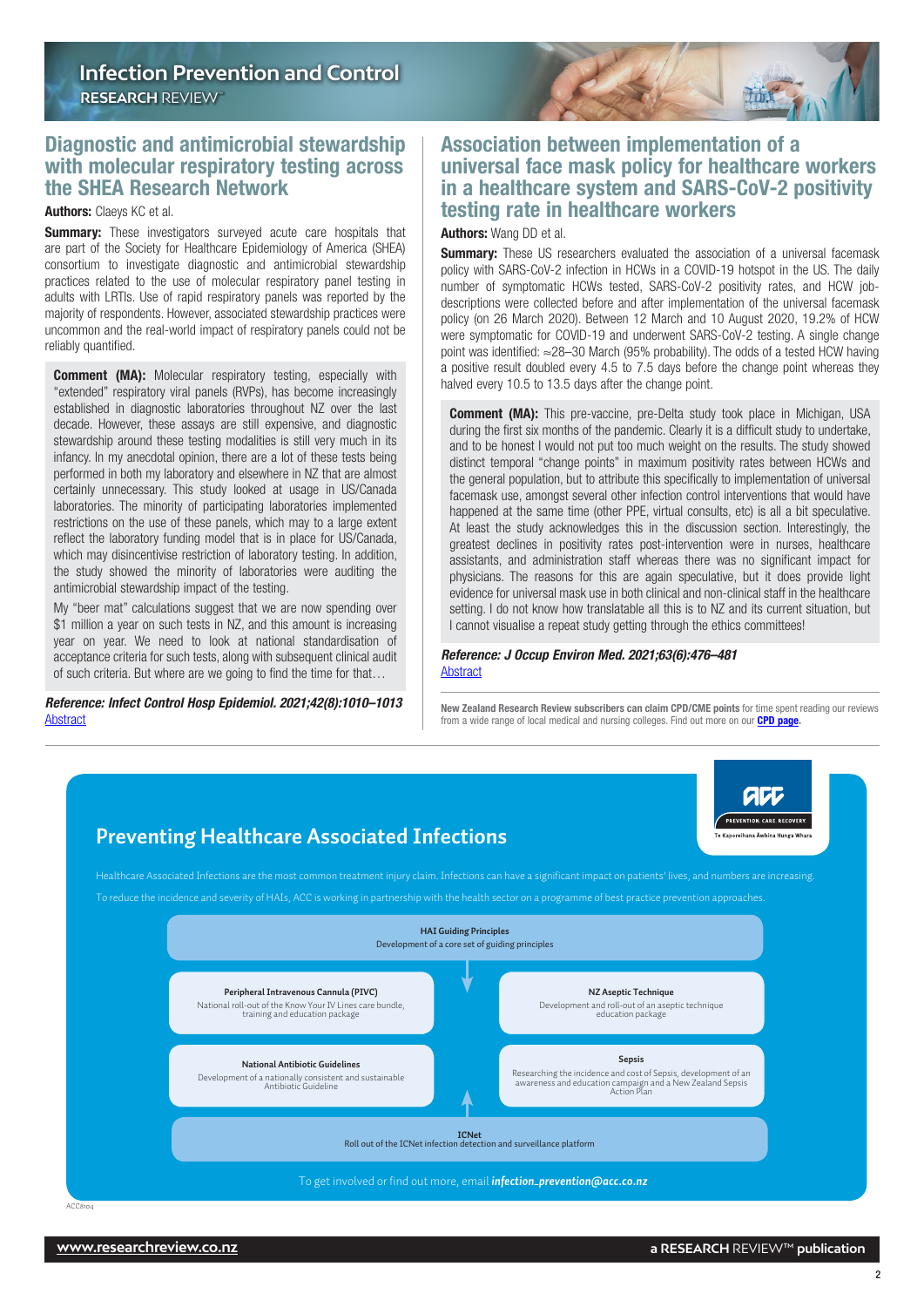### <span id="page-1-0"></span>Diagnostic and antimicrobial stewardship with molecular respiratory testing across the SHEA Research Network

#### Authors: Claeys KC et al.

**Summary:** These investigators surveyed acute care hospitals that are part of the Society for Healthcare Epidemiology of America (SHEA) consortium to investigate diagnostic and antimicrobial stewardship practices related to the use of molecular respiratory panel testing in adults with LRTIs. Use of rapid respiratory panels was reported by the majority of respondents. However, associated stewardship practices were uncommon and the real-world impact of respiratory panels could not be reliably quantified.

**Comment (MA):** Molecular respiratory testing, especially with "extended" respiratory viral panels (RVPs), has become increasingly established in diagnostic laboratories throughout NZ over the last decade. However, these assays are still expensive, and diagnostic stewardship around these testing modalities is still very much in its infancy. In my anecdotal opinion, there are a lot of these tests being performed in both my laboratory and elsewhere in NZ that are almost certainly unnecessary. This study looked at usage in US/Canada laboratories. The minority of participating laboratories implemented restrictions on the use of these panels, which may to a large extent reflect the laboratory funding model that is in place for US/Canada, which may disincentivise restriction of laboratory testing. In addition, the study showed the minority of laboratories were auditing the antimicrobial stewardship impact of the testing.

My "beer mat" calculations suggest that we are now spending over \$1 million a year on such tests in NZ, and this amount is increasing year on year. We need to look at national standardisation of acceptance criteria for such tests, along with subsequent clinical audit of such criteria. But where are we going to find the time for that…

*Reference: Infect Control Hosp Epidemiol. 2021;42(8):1010–1013* **[Abstract](https://www.cambridge.org/core/journals/infection-control-and-hospital-epidemiology/article/abs/diagnostic-and-antimicrobial-stewardship-with-molecular-respiratory-testing-across-the-shea-research-network/0733B6A025402022013F7A6478361413)** 

**Preventing Healthcare Associated Infections**

## Association between implementation of a universal face mask policy for healthcare workers in a healthcare system and SARS-CoV-2 positivity testing rate in healthcare workers

TOOR !!

Authors: Wang DD et al.

**Summary:** These US researchers evaluated the association of a universal facemask policy with SARS-CoV-2 infection in HCWs in a COVID-19 hotspot in the US. The daily number of symptomatic HCWs tested, SARS-CoV-2 positivity rates, and HCW jobdescriptions were collected before and after implementation of the universal facemask policy (on 26 March 2020). Between 12 March and 10 August 2020, 19.2% of HCW were symptomatic for COVID-19 and underwent SARS-CoV-2 testing. A single change point was identified: ≈28–30 March (95% probability). The odds of a tested HCW having a positive result doubled every 4.5 to 7.5 days before the change point whereas they halved every 10.5 to 13.5 days after the change point.

**Comment (MA):** This pre-vaccine, pre-Delta study took place in Michigan, USA during the first six months of the pandemic. Clearly it is a difficult study to undertake, and to be honest I would not put too much weight on the results. The study showed distinct temporal "change points" in maximum positivity rates between HCWs and the general population, but to attribute this specifically to implementation of universal facemask use, amongst several other infection control interventions that would have happened at the same time (other PPE, virtual consults, etc) is all a bit speculative. At least the study acknowledges this in the discussion section. Interestingly, the greatest declines in positivity rates post-intervention were in nurses, healthcare assistants, and administration staff whereas there was no significant impact for physicians. The reasons for this are again speculative, but it does provide light evidence for universal mask use in both clinical and non-clinical staff in the healthcare setting. I do not know how translatable all this is to NZ and its current situation, but I cannot visualise a repeat study getting through the ethics committees!

#### *Reference: J Occup Environ Med. 2021;63(6):476–481* **[Abstract](https://journals.lww.com/joem/Fulltext/2021/06000/Association_Between_Implementation_of_a_Universal.5.aspx)**

New Zealand Research Review subscribers can claim CPD/CME points for time spent reading our reviews from a wide range of local medical and nursing colleges. Find out more on our **CPD page** 

## Healthcare Associated Infections are the most common treatment injury claim. Infections can have a significant impact on patients' lives, and numbers are increasing. To reduce the incidence and severity of HAIs, ACC is working in partnership with the health sector on a programme of best practice prevention approaches. **Peripheral Intravenous Cannula (PIVC)** National roll-out of the Know Your IV Lines care bundle, training and education package **NZ Aseptic Technique** Development and roll-out of an aseptic technique education package **National Antibiotic Guidelines** Development of a nationally consistent and sustainable Antibiotic Guideline **Sepsis** Researching the incidence and cost of Sepsis, development of an awareness and education campaign and a New Zealand Sepsis<br>Action Plan **HAI Guiding Principles**  Development of a core set of guiding principles **ICNet** Roll out of the ICNet infection detection and surveillance platform

#### To get involved or find out more, email *[infection\\_prevention@acc.co.nz](mailto:infection_prevention%40acc.co.nz?subject=)*

acc PREVENTION, CARE, RECOVERY, antina variante de la India<br>Nota de Antina Hunga V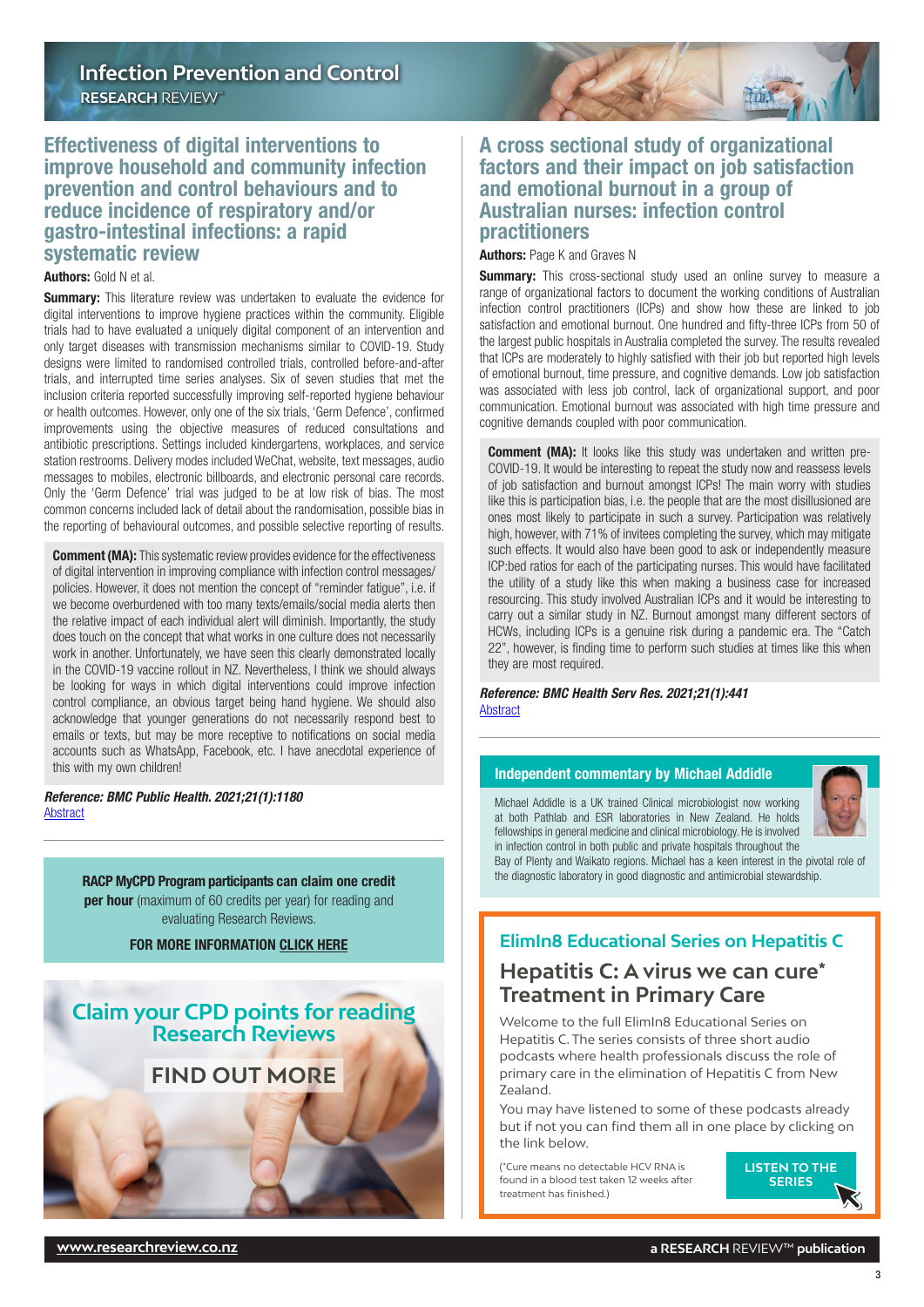## <span id="page-2-0"></span>Effectiveness of digital interventions to improve household and community infection prevention and control behaviours and to reduce incidence of respiratory and/or gastro-intestinal infections: a rapid systematic review

#### Authors: Gold N et al.

**Summary:** This literature review was undertaken to evaluate the evidence for digital interventions to improve hygiene practices within the community. Eligible trials had to have evaluated a uniquely digital component of an intervention and only target diseases with transmission mechanisms similar to COVID-19. Study designs were limited to randomised controlled trials, controlled before-and-after trials, and interrupted time series analyses. Six of seven studies that met the inclusion criteria reported successfully improving self-reported hygiene behaviour or health outcomes. However, only one of the six trials, 'Germ Defence', confirmed improvements using the objective measures of reduced consultations and antibiotic prescriptions. Settings included kindergartens, workplaces, and service station restrooms. Delivery modes included WeChat, website, text messages, audio messages to mobiles, electronic billboards, and electronic personal care records. Only the 'Germ Defence' trial was judged to be at low risk of bias. The most common concerns included lack of detail about the randomisation, possible bias in the reporting of behavioural outcomes, and possible selective reporting of results.

**Comment (MA):** This systematic review provides evidence for the effectiveness of digital intervention in improving compliance with infection control messages/ policies. However, it does not mention the concept of "reminder fatigue", i.e. if we become overburdened with too many texts/emails/social media alerts then the relative impact of each individual alert will diminish. Importantly, the study does touch on the concept that what works in one culture does not necessarily work in another. Unfortunately, we have seen this clearly demonstrated locally in the COVID-19 vaccine rollout in NZ. Nevertheless, I think we should always be looking for ways in which digital interventions could improve infection control compliance, an obvious target being hand hygiene. We should also acknowledge that younger generations do not necessarily respond best to emails or texts, but may be more receptive to notifications on social media accounts such as WhatsApp, Facebook, etc. I have anecdotal experience of this with my own children!

*Reference: BMC Public Health. 2021;21(1):1180* [Abstract](https://bmcpublichealth.biomedcentral.com/articles/10.1186/s12889-021-11150-8)

> RACP MyCPD Program participants can claim one credit **per hour** (maximum of 60 credits per year) for reading and evaluating Research Reviews.

> > FOR MORE INFORMATION [CLICK HERE](https://www.racp.edu.au/fellows/continuing-professional-development)

# **Claim your CPD points for reading Research Reviews**

# **[FIND OUT MORE](https://www.researchreview.co.nz/nz/CPD.aspx)**

## A cross sectional study of organizational factors and their impact on job satisfaction and emotional burnout in a group of Australian nurses: infection control practitioners

Jmr

Authors: Page K and Graves N

**Summary:** This cross-sectional study used an online survey to measure a range of organizational factors to document the working conditions of Australian infection control practitioners (ICPs) and show how these are linked to job satisfaction and emotional burnout. One hundred and fifty-three ICPs from 50 of the largest public hospitals in Australia completed the survey. The results revealed that ICPs are moderately to highly satisfied with their job but reported high levels of emotional burnout, time pressure, and cognitive demands. Low job satisfaction was associated with less job control, lack of organizational support, and poor communication. Emotional burnout was associated with high time pressure and cognitive demands coupled with poor communication.

**Comment (MA):** It looks like this study was undertaken and written pre-COVID-19. It would be interesting to repeat the study now and reassess levels of job satisfaction and burnout amongst ICPs! The main worry with studies like this is participation bias, i.e. the people that are the most disillusioned are ones most likely to participate in such a survey. Participation was relatively high, however, with 71% of invitees completing the survey, which may mitigate such effects. It would also have been good to ask or independently measure ICP:bed ratios for each of the participating nurses. This would have facilitated the utility of a study like this when making a business case for increased resourcing. This study involved Australian ICPs and it would be interesting to carry out a similar study in NZ. Burnout amongst many different sectors of HCWs, including ICPs is a genuine risk during a pandemic era. The "Catch 22", however, is finding time to perform such studies at times like this when they are most required.

#### *Reference: BMC Health Serv Res. 2021;21(1):441* **[Abstract](https://bmchealthservres.biomedcentral.com/articles/10.1186/s12913-021-06477-2)**

#### Independent commentary by Michael Addidle

Michael Addidle is a UK trained Clinical microbiologist now working at both Pathlab and ESR laboratories in New Zealand. He holds fellowships in general medicine and clinical microbiology. He is involved in infection control in both public and private hospitals throughout the



Bay of Plenty and Waikato regions. Michael has a keen interest in the pivotal role of the diagnostic laboratory in good diagnostic and antimicrobial stewardship.

# **ElimIn8 Educational Series on Hepatitis C**

# **Hepatitis C: A virus we can cure\* Treatment in Primary Care**

Welcome to the full ElimIn8 Educational Series on Hepatitis C. The series consists of three short audio podcasts where health professionals discuss the role of primary care in the elimination of Hepatitis C from New Zealand.

You may have listened to some of these podcasts already but if not you can find them all in one place by clicking on the link below.

(\*Cure means no detectable HCV RNA is found in a blood test taken 12 weeks after treatment has finished.)

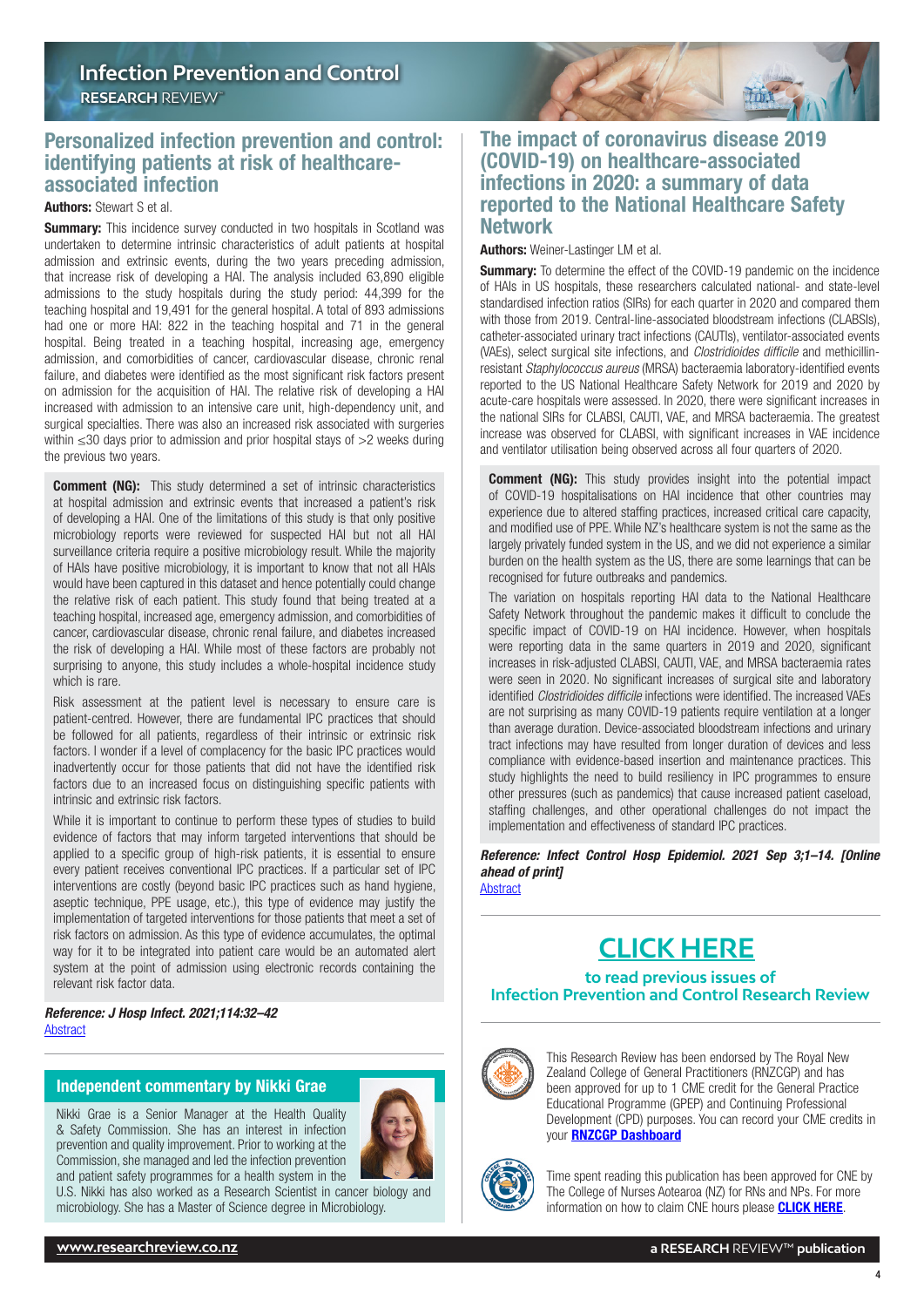<span id="page-3-0"></span>

#### Authors: Stewart S et al.

**Summary:** This incidence survey conducted in two hospitals in Scotland was undertaken to determine intrinsic characteristics of adult patients at hospital admission and extrinsic events, during the two years preceding admission, that increase risk of developing a HAI. The analysis included 63,890 eligible admissions to the study hospitals during the study period: 44,399 for the teaching hospital and 19,491 for the general hospital. A total of 893 admissions had one or more HAI: 822 in the teaching hospital and 71 in the general hospital. Being treated in a teaching hospital, increasing age, emergency admission, and comorbidities of cancer, cardiovascular disease, chronic renal failure, and diabetes were identified as the most significant risk factors present on admission for the acquisition of HAI. The relative risk of developing a HAI increased with admission to an intensive care unit, high-dependency unit, and surgical specialties. There was also an increased risk associated with surgeries within ≤30 days prior to admission and prior hospital stays of >2 weeks during the previous two years.

**Comment (NG):** This study determined a set of intrinsic characteristics at hospital admission and extrinsic events that increased a patient's risk of developing a HAI. One of the limitations of this study is that only positive microbiology reports were reviewed for suspected HAI but not all HAI surveillance criteria require a positive microbiology result. While the majority of HAIs have positive microbiology, it is important to know that not all HAIs would have been captured in this dataset and hence potentially could change the relative risk of each patient. This study found that being treated at a teaching hospital, increased age, emergency admission, and comorbidities of cancer, cardiovascular disease, chronic renal failure, and diabetes increased the risk of developing a HAI. While most of these factors are probably not surprising to anyone, this study includes a whole-hospital incidence study which is rare.

Risk assessment at the patient level is necessary to ensure care is patient-centred. However, there are fundamental IPC practices that should be followed for all patients, regardless of their intrinsic or extrinsic risk factors. I wonder if a level of complacency for the basic IPC practices would inadvertently occur for those patients that did not have the identified risk factors due to an increased focus on distinguishing specific patients with intrinsic and extrinsic risk factors.

While it is important to continue to perform these types of studies to build evidence of factors that may inform targeted interventions that should be applied to a specific group of high-risk patients, it is essential to ensure every patient receives conventional IPC practices. If a particular set of IPC interventions are costly (beyond basic IPC practices such as hand hygiene, aseptic technique, PPE usage, etc.), this type of evidence may justify the implementation of targeted interventions for those patients that meet a set of risk factors on admission. As this type of evidence accumulates, the optimal way for it to be integrated into patient care would be an automated alert system at the point of admission using electronic records containing the relevant risk factor data.

*Reference: J Hosp Infect. 2021;114:32–42* [Abstract](https://www.journalofhospitalinfection.com/article/S0195-6701(21)00191-2/fulltext)

#### Independent commentary by Nikki Grae

Nikki Grae is a Senior Manager at the Health Quality & Safety Commission. She has an interest in infection prevention and quality improvement. Prior to working at the Commission, she managed and led the infection prevention and patient safety programmes for a health system in the



U.S. Nikki has also worked as a Research Scientist in cancer biology and microbiology. She has a Master of Science degree in Microbiology.

## The impact of coronavirus disease 2019 (COVID-19) on healthcare-associated infections in 2020: a summary of data reported to the National Healthcare Safety Network

Tm.

Authors: Weiner-Lastinger LM et al.

**Summary:** To determine the effect of the COVID-19 pandemic on the incidence of HAIs in US hospitals, these researchers calculated national- and state-level standardised infection ratios (SIRs) for each quarter in 2020 and compared them with those from 2019. Central-line-associated bloodstream infections (CLABSIs), catheter-associated urinary tract infections (CAUTIs), ventilator-associated events (VAEs), select surgical site infections, and *Clostridioides difficile* and methicillinresistant *Staphylococcus aureus* (MRSA) bacteraemia laboratory-identified events reported to the US National Healthcare Safety Network for 2019 and 2020 by acute-care hospitals were assessed. In 2020, there were significant increases in the national SIRs for CLABSI, CAUTI, VAE, and MRSA bacteraemia. The greatest increase was observed for CLABSI, with significant increases in VAE incidence and ventilator utilisation being observed across all four quarters of 2020.

**Comment (NG):** This study provides insight into the potential impact of COVID-19 hospitalisations on HAI incidence that other countries may experience due to altered staffing practices, increased critical care capacity, and modified use of PPE. While NZ's healthcare system is not the same as the largely privately funded system in the US, and we did not experience a similar burden on the health system as the US, there are some learnings that can be recognised for future outbreaks and pandemics.

The variation on hospitals reporting HAI data to the National Healthcare Safety Network throughout the pandemic makes it difficult to conclude the specific impact of COVID-19 on HAI incidence. However, when hospitals were reporting data in the same quarters in 2019 and 2020, significant increases in risk-adjusted CLABSI, CAUTI, VAE, and MRSA bacteraemia rates were seen in 2020. No significant increases of surgical site and laboratory identified *Clostridioides difficile* infections were identified. The increased VAEs are not surprising as many COVID-19 patients require ventilation at a longer than average duration. Device-associated bloodstream infections and urinary tract infections may have resulted from longer duration of devices and less compliance with evidence-based insertion and maintenance practices. This study highlights the need to build resiliency in IPC programmes to ensure other pressures (such as pandemics) that cause increased patient caseload, staffing challenges, and other operational challenges do not impact the implementation and effectiveness of standard IPC practices.

*Reference: Infect Control Hosp Epidemiol. 2021 Sep 3;1–14. [Online ahead of print]* [Abstract](https://www.cambridge.org/core/journals/infection-control-and-hospital-epidemiology/article/impact-of-coronavirus-disease-2019-covid19-on-healthcareassociated-infections-in-2020-a-summary-of-data-reported-to-the-national-healthcare-safety-network/8197F323F4840D233A0C62F4726287E1)

# **[CLICK HERE](https://www.researchreview.co.nz/nz/Clinical-Area/Internal-Medicine/Infectious-Diseases/Infection-Control-and-Prevention.aspx?Show=RR-All)**

**to read previous issues of Infection Prevention and Control Research Review**



This Research Review has been endorsed by The Royal New Zealand College of General Practitioners (RNZCGP) and has been approved for up to 1 CME credit for the General Practice Educational Programme (GPEP) and Continuing Professional Development (CPD) purposes. You can record your CME credits in your [RNZCGP Dashboard](https://www.rnzcgp.org.nz/RNZCGP/Contact_Management/Sign_In.aspx)



Time spent reading this publication has been approved for CNE by The College of Nurses Aotearoa (NZ) for RNs and NPs. For more information on how to claim CNE hours please **[CLICK HERE](http://www.nurse.org.nz/continuing-nursing-education-cne-template.html)**.

4